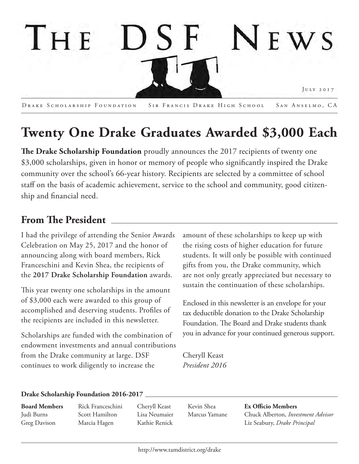

Drake Scholarship Foundation Sir Francis Drake High School San Anselmo, CA

# **Twenty One Drake Graduates Awarded \$3,000 Each**

**The Drake Scholarship Foundation** proudly announces the 2017 recipients of twenty one \$3,000 scholarships, given in honor or memory of people who significantly inspired the Drake community over the school's 66-year history. Recipients are selected by a committee of school staff on the basis of academic achievement, service to the school and community, good citizenship and financial need.

# **From The President**

I had the privilege of attending the Senior Awards Celebration on May 25, 2017 and the honor of announcing along with board members, Rick Franceschini and Kevin Shea, the recipients of the **2017 Drake Scholarship Foundation** awards.

This year twenty one scholarships in the amount of \$3,000 each were awarded to this group of accomplished and deserving students. Profiles of the recipients are included in this newsletter.

Scholarships are funded with the combination of endowment investments and annual contributions from the Drake community at large. DSF continues to work diligently to increase the

amount of these scholarships to keep up with the rising costs of higher education for future students. It will only be possible with continued gifts from you, the Drake community, which are not only greatly appreciated but necessary to sustain the continuation of these scholarships.

Enclosed in this newsletter is an envelope for your tax deductible donation to the Drake Scholarship Foundation. The Board and Drake students thank you in advance for your continued generous support.

Cheryll Keast *President 2016* 

#### **Drake Scholarship Foundation 2016-2017**

**Board Members** Judi Burns Greg Davison

Rick Franceschini Scott Hamilton Marcia Hagen

Cheryll Keast Lisa Neumaier Kathie Renick

Kevin Shea Marcus Yamane **Ex Officio Members**  Chuck Alberton, *Investment Advisor* Liz Seabury, *Drake Principal*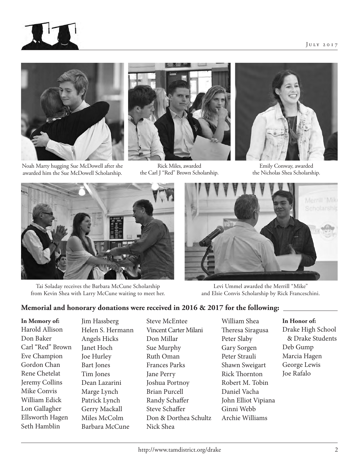

Noah Marty hugging Sue McDowell after she awarded him the Sue McDowell Scholarship.



Rick Miles, awarded the Carl J "Red" Brown Scholarship.



Emily Conway, awarded the Nicholas Shea Scholarship.



Tai Soladay receives the Barbara McCune Scholarship from Kevin Shea with Larry McCune waiting to meet her.



Levi Ummel awarded the Merrill "Mike" and Elsie Convis Scholarship by Rick Franceschini.

### **Memorial and honorary donations were received in 2016 & 2017 for the following:**

**In Memory of:** Harold Allison Don Baker Carl "Red" Brown Eve Champion Gordon Chan Rene Chetelat Jeremy Collins Mike Convis William Edick Lon Gallagher Ellsworth Hagen Seth Hamblin

Jim Hassberg Helen S. Hermann Angels Hicks Janet Hoch Joe Hurley Bart Jones Tim Jones Dean Lazarini Marge Lynch Patrick Lynch Gerry Mackall Miles McColm Barbara McCune

Steve McEntee Vincent Carter Milani Don Millar Sue Murphy Ruth Oman Frances Parks Jane Perry Joshua Portnoy Brian Purcell Randy Schaffer Steve Schaffer Don & Dorthea Schultz Nick Shea

William Shea Theresa Siragusa Peter Slaby Gary Sorgen Peter Strauli Shawn Sweigart Rick Thornton Robert M. Tobin Daniel Vacha John Elliot Vipiana Ginni Webb Archie Williams

#### **In Honor of:**

Drake High School & Drake Students Deb Gump Marcia Hagen George Lewis Joe Rafalo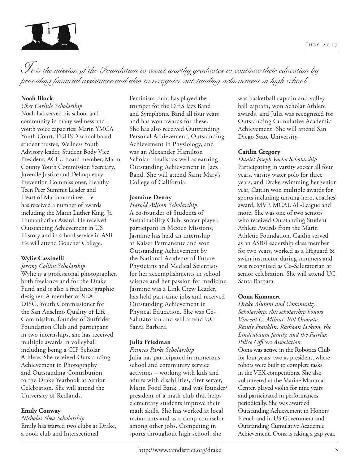

*It is the mission of the Foundation to assist worthy graduates to continue their education by providing financial assistance and also to recognize outstanding achievement in high school.*

#### **Noah Block**

*Chet Carlisle Scholarship* Noah has served his school and community in many wellness and youth voice capacities: Marin YMCA Youth Court, TUHSD school board student trustee, Wellness Youth Advisory leader, Student Body Vice President, ACLU board member, Marin County Youth Commission Secretary, Juvenile Justice and Delinquency Prevention Commissioner, Healthy Teen Peer Summit Leader and Heart of Marin nominee. He has received a number of awards including the Marin Luther King, Jr. Humanitarian Award. He received Outstanding Achievement in US History and in school service in ASB. He will attend Goucher College.

#### **Wylie Cassinelli**

*Jeremy Collins Scholarship* Wylie is a professional photographer, both freelance and for the Drake Fund and is also a freelance graphic designer. A member of SEA-DISC, Youth Commissioner for the San Anselmo Quality of Life Commission, founder of Surfrider Foundation Club and participant in two internships, she has received multiple awards in volleyball including being a CIF Scholar Athlete. She received Outstanding Achievement in Photography and Outstanding Contribution to the Drake Yearbook at Senior Celebration. She will attend the University of Redlands.

#### **Emily Conway**

*Nicholas Shea Scholarship* Emily has started two clubs at Drake, a book club and Intersectional

Feminism club, has played the trumpet for the DHS Jazz Band and Symphonic Band all four years and has won awards for these. She has also received Outstanding Personal Achievement, Outstanding Achievement in Physiology, and was an Alexander Hamilton Scholar Finalist as well as earning Outstanding Achievement in Jazz Band. She will attend Saint Mary's College of California.

#### **Jasmine Denny**

*Harold Allison Scholarship* A co-founder of Students of Sustainability Club, soccer player, participant in Mexico Missions, Jasmine has held an internship at Kaiser Permanente and won Outstanding Achievement by the National Academy of Future Physicians and Medical Scientists for her accomplishments in school science and her passion for medicine. Jasmine was a Link Crew Leader, has held part-time jobs and received Outstanding Achievement in Physical Education. She was Co-Salutatorian and will attend UC Santa Barbara.

#### **Julia Friedman**

*Frances Parks Scholarship* Julia has participated in numerous school and community service activities – working with kids and adults with disabilities, alter server, Marin Food Bank , and was founder/ president of a math club that helps elementary students improve their math skills. She has worked at local restaurants and as a camp counselor among other jobs. Competing in sports throughout high school, she

was basketball captain and volley ball captain, won Scholar Athlete awards, and Julia was recognized for Outstanding Cumulative Academic Achievement. She will attend San Diego State University.

#### **Caitlin Gregory**

*Daniel Joseph Vacha Scholarship* Participating in varsity soccer all four years, varsity water polo for three years, and Drake swimming her senior year, Caitlin won multiple awards for sports including unsung hero, coaches' award, MVP, MCAL All-League and more. She was one of two seniors who received Outstanding Student Athlete Awards from the Marin Athletic Foundation. Caitlin served as an ASB/Leadership class member for two years, worked as a lifeguard & swim instructor during summers and was recognized as Co-Salutatorian at senior celebration. She will attend UC Santa Barbara.

#### **Oona Kummert**

*Drake Alumni and Community Scholarship; this scholarship honors Vincent C. Milani, Bill Onorato, Randy Franklin, Rashaan Jackson, the Lindenbaum family, and the Fairfax Police Officers Association.* Oona was active in the Robotics Club for four years, two as president, where robots were built to complete tasks in the VEX competitions. She also volunteered at the Marine Mammal Center, played violin for nine years and participated in performances periodically. She was awarded Outstanding Achievement in Honors French and in US Government and Outstanding Cumulative Academic Achievement. Oona is taking a gap year.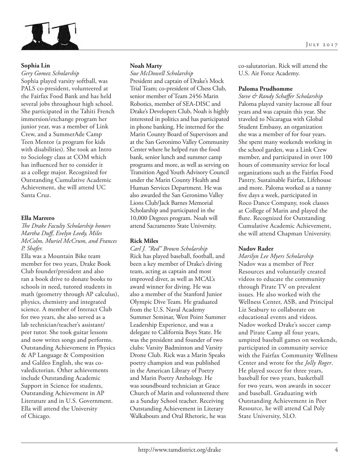

#### **Sophia Lin**

*Gery Gomez Scholarship* Sophia played varsity softball, was PALS co-president, volunteered at the Fairfax Food Bank and has held several jobs throughout high school. She participated in the Tahiti French immersion/exchange program her junior year, was a member of Link Crew, and a SummerAde Camp Teen Mentor (a program for kids with disabilities). She took an Intro to Sociology class at COM which has influenced her to consider it as a college major. Recognized for Outstanding Cumulative Academic Achievement, she will attend UC Santa Cruz.

#### **Ella Marrero**

*The Drake Faculty Scholarship honors Martha Duff, Evelyn Leedy, Miles McColm, Muriel McCrum, and Frances P. Shafer.*

Ella was a Mountain Bike team member for two years, Drake Book Club founder/president and also ran a book drive to donate books to schools in need, tutored students in math (geometry through AP calculus), physics, chemistry and integrated science. A member of Interact Club for two years, she also served as a lab technician/teacher's assistant/ peer tutor. She took guitar lessons and now writes songs and performs. Outstanding Achievement in Physics & AP Language & Composition and Galileo English, she was covaledictorian. Other achievements include Outstanding Academic Support in Science for students, Outstanding Achievement in AP Literature and in U.S. Government. Ella will attend the University of Chicago.

#### **Noah Marty**

*Sue McDowell Scholarship* President and captain of Drake's Mock Trial Team; co-president of Chess Club, senior member of Team 2456 Marin Robotics, member of SEA-DISC and Drake's Developers Club, Noah is highly interested in politics and has participated in phone banking. He interned for the Marin County Board of Supervisors and at the San Geronimo Valley Community Center where he helped run the food bank, senior lunch and summer camp programs and more, as well as serving on Transition Aged Youth Advisory Council under the Marin County Health and Human Services Department. He was also awarded the San Geronimo Valley Lions Club/Jack Barnes Memorial Scholarship and participated in the 10,000 Degrees program. Noah will attend Sacramento State University.

#### **Rick Miles**

*Carl J. "Red" Brown Scholarship* Rick has played baseball, football, and been a key member of Drake's diving team, acting as captain and most improved diver, as well as MCAL's award winner for diving. He was also a member of the Stanford Junior Olympic Dive Team. He graduated from the U.S. Naval Academy Summer Seminar, West Point Summer Leadership Experience, and was a delegate to California Boys State. He was the president and founder of two clubs: Varsity Badminton and Varsity Drone Club. Rick was a Marin Speaks poetry champion and was published in the American Library of Poetry and Marin Poetry Anthology. He was soundboard technician at Grace Church of Marin and volunteered there as a Sunday School teacher. Receiving Outstanding Achievement in Literary Walkabouts and Oral Rhetoric, he was

co-salutatorian. Rick will attend the U.S. Air Force Academy.

#### **Paloma Prudhomme**

*Steve & Randy Schaffer Scholarship* Paloma played varsity lacrosse all four years and was captain this year. She traveled to Nicaragua with Global Student Embassy, an organization she was a member of for four years. She spent many weekends working in the school garden, was a Link Crew member, and participated in over 100 hours of community service for local organizations such as the Fairfax Food Pantry, Sustainable Fairfax, Lifehouse and more. Paloma worked as a nanny five days a week, participated in Roco Dance Company, took classes at College of Marin and played the flute. Recognized for Outstanding Cumulative Academic Achievement, she will attend Chapman University.

#### **Nadov Rader**

*Marilyn Lee Myers Scholarship* Nadov was a member of Peer Resources and voluntarily created videos to educate the community through Pirate TV on prevalent issues. He also worked with the Wellness Center, ASB, and Principal Liz Seabury to collaborate on educational events and videos. Nadov worked Drake's soccer camp and Pirate Camp all four years, umpired baseball games on weekends, participated in community service with the Fairfax Community Wellness Center and wrote for the *Jolly Roger*. He played soccer for three years, baseball for two years, basketball for two years, won awards in soccer and baseball. Graduating with Outstanding Achievement in Peer Resource, he will attend Cal Poly State University, SLO.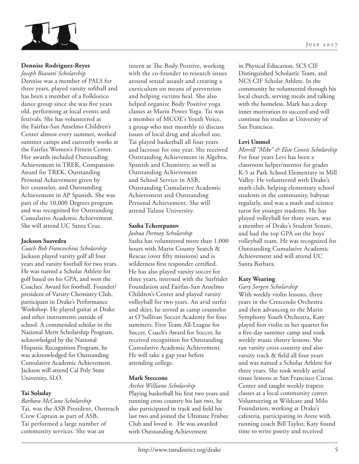

#### **Dennise Rodriguez-Reyes**

*Joseph Biasotti Scholarship* Dennise was a member of PALS for three years, played varsity softball and has been a member of a Folklorico dance group since she was five years old, performing at local events and festivals. She has volunteered at the Fairfax-San Anselmo Children's Center almost every summer, worked summer camps and currently works at the Fairfax Women's Fitness Center. Her awards included Outstanding Achievement in TREK, Compassion Award for TREK, Outstanding Personal Achievement given by her counselor, and Outstanding Achievement in AP Spanish. She was part of the 10,000 Degrees program and was recognized for Outstanding Cumulative Academic Achievement. She will attend UC Santa Cruz.

#### **Jackson Saavedra**

*Coach Bob Franceschini Scholarship* Jackson played varsity golf all four years and varsity football for two years. He was named a Scholar Athlete for golf based on his GPA, and won the Coaches' Award for football. Founder/ president of Varsity Chemistry Club, participant in Drake's Performance Workshop. He played guitar at Drake and other instruments outside of school. A commended scholar in the National Merit Scholarship Program, acknowledged by the National Hispanic Recognition Program, he was acknowledged for Outstanding Cumulative Academic Achievement. Jackson will attend Cal Poly State University, SLO.

#### **Tai Soladay**

*Barbara McCune Scholarship* Tai, was the ASB President, Outreach Crew Captain as part of ASB, Tai performed a large number of community services. She was an

intern at The Body Positive, working with the co-founder to research issues around sexual assault and creating a curriculum on means of prevention and helping victims heal. She also helped organize Body Positive yoga classes at Marin Power Yoga. Tai was a member of MCOE's Youth Voice, a group who met monthly to discuss issues of local drug and alcohol use. Tai played basketball all four years and lacrosse for one year. She received Outstanding Achievement in Algebra, Spanish and Chemistry, as well as Outstanding Achievement and School Service in ASB, Outstanding Cumulative Academic Achievement and Outstanding Personal Achievement. She will attend Tulane University.

#### **Sasha Tcherepanov**

*Joshua Portnoy Scholarship* Sasha has volunteered more than 1,000 hours with Marin County Search & Rescue (over fifty missions) and is wilderness first responder certified. He has also played varsity soccer for three years, interned with the Surfrider Foundation and Fairfax-San Anselmo Children's Center and played varsity volleyball for two years. An avid surfer and skier, he served as camp counselor at O'Sullivan Soccer Academy for four summers. First Team All-League for Soccer, Coach's Award for Soccer, he received recognition for Outstanding Cumulative Academic Achievement. He will take a gap year before attending college.

#### **Mark Steccone**

*Archie Williams Scholarship* Playing basketball his first two years and running cross country his last two, he also participated in track and field his last two and joined the Ultimate Frisbee Club and loved it. He was awarded with Outstanding Achievement

in Physical Education, SCS CIF Distinguished Scholastic Team, and NCS CIF Scholar Athlete. In the community he volunteered through his local church, serving meals and talking with the homeless. Mark has a deep inner motivation to succeed and will continue his studies at University of San Francisco.

#### **Levi Ummel**

*Merrill "Mike" & Elsie Convis Scholarship* For four years Levi has been a classroom helper/mentor for grades K-5 at Park School Elementary in Mill Valley. He volunteered with Drake's math club, helping elementary school students in the community, babysat regularly, and was a math and science tutor for younger students. He has played volleyball for three years, was a member of Drake's Student Senate, and had the top GPA on the boys' volleyball team. He was recognized for Outstanding Cumulative Academic Achievement and will attend UC Santa Barbara.

#### **Katy Wearing**

*Gary Sorgen Scholarship* With weekly violin lessons, three years in the Crescendo Orchestra and then advancing to the Marin Symphony Youth Orchestra, Katy played first violin in her quartet for a five-day summer camp and took weekly music theory lessons. She ran varsity cross country and also varsity track & field all four years and was named a Scholar Athlete for three years. She took weekly aerial tissue lessons at San Francisco Circus Center and taught weekly trapeze classes at a local community center. Volunteering at Wildcare and Milo Foundation, working at Drake's cafeteria, participating in Arete with running coach Bill Taylor, Katy found time to write poetry and received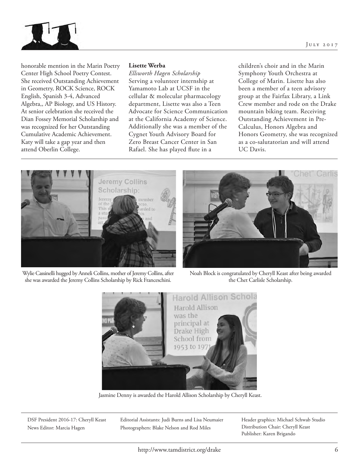



honorable mention in the Marin Poetry Center High School Poetry Contest. She received Outstanding Achievement in Geometry, ROCK Science, ROCK English, Spanish 3-4, Advanced Algebra,, AP Biology, and US History. At senior celebration she received the Dian Fossey Memorial Scholarship and was recognized for her Outstanding Cumulative Academic Achievement. Katy will take a gap year and then attend Oberlin College.

#### **Lisette Werba**

*Ellsworth Hagen Scholarship* Serving a volunteer internship at Yamamoto Lab at UCSF in the cellular & molecular pharmacology department, Lisette was also a Teen Advocate for Science Communication at the California Academy of Science. Additionally she was a member of the Cygnet Youth Advisory Board for Zero Breast Cancer Center in San Rafael. She has played flute in a

children's choir and in the Marin Symphony Youth Orchestra at College of Marin. Lisette has also been a member of a teen advisory group at the Fairfax Library, a Link Crew member and rode on the Drake mountain biking team. Receiving Outstanding Achievement in Pre-Calculus, Honors Algebra and Honors Geometry, she was recognized as a co-salutatorian and will attend UC Davis.







Noah Block is congratulated by Cheryll Keast after being awarded the Chet Carlisle Scholarship.



Jasmine Denny is awarded the Harold Allison Scholarship by Cheryll Keast.

DSF President 2016-17: Cheryll Keast News Editor: Marcia Hagen

Editorial Assistants: Judi Burns and Lisa Neumaier Photographers: Blake Nelson and Rod Miles

Header graphics: Michael Schwab Studio Distribution Chair: Cheryll Keast Publisher: Karen Brigando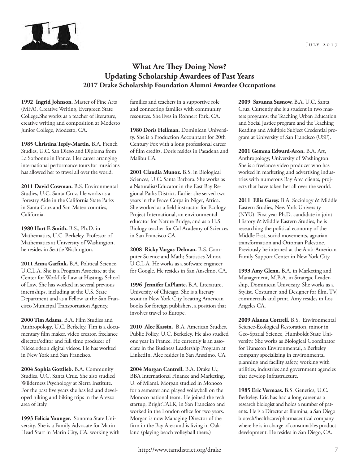

## **What Are They Doing Now? Updating Scholarship Awardees of Past Years 2017 Drake Scholarship Foundation Alumni Awardee Occupations**

**1992 Ingrid Johnson.** Master of Fine Arts (MFA), Creative Writing, Evergreen State College.She works as a teacher of literature, creative writing and composition at Modesto Junior College, Modesto, CA.

**1985 Christina Teply-Martin.** B.A. French Studies, U.C. San Diego and Diploma from La Sorbonne in France. Her career arranging international performance tours for musicians has allowed her to travel all over the world.

**2011 David Cowman.** B.S. Environmental Studies, U.C. Santa Cruz. He works as a Forestry Aide in the California State Parks in Santa Cruz and San Mateo counties, California.

**1980 Hart F. Smith.** B.S., Ph.D. in Mathematics, U.C. Berkeley. Professor of Mathematics at University of Washington, he resides in Seattle Washington.

**2011 Anna Garfink.** B.A. Political Science, U.C.L.A. She is a Program Associate at the Center for WorkLife Law at Hastings School of Law. She has worked in several previous internships, including at the U.S. State Department and as a Fellow at the San Francisco Municipal Transportation Agency.

**2000 Tim Adams.** B.A. Film Studies and Anthropology, U.C. Berkeley. Tim is a documentary film maker, video creator, freelance director/editor and full time producer of Nickelodeon digital videos. He has worked in New York and San Francisco.

**2004 Sophia Gottlieb.** B.A. Community Studies, U.C. Santa Cruz. She also studied Wilderness Psychology at Sierra Institute. For the past five years she has led and developed hiking and biking trips in the Arezzo area of Italy.

**1993 Felicia Younger.** Sonoma State University. She is a Family Advocate for Marin Head Start in Marin City, CA. working with families and teachers in a supportive role and connecting families with community resources. She lives in Rohnert Park, CA.

**1980 Doris Hellman.** Dominican University. She is a Production Accountant for 20th Century Fox with a long professional career of film credits. Doris resides in Pasadena and Malibu CA.

**2001 Claudia Munoz.** B.S. in Biological Sciences, U.C. Santa Barbara. She works as a Naturalist/Educator in the East Bay Regional Parks District. Earlier she served two years in the Peace Corps in Niger, Africa. She worked as a field instructor for Ecology Project International, an environmental educator for Nature Bridge, and as a H.S. Biology teacher for Cal Academy of Sciences in San Francisco CA.

**2008 Ricky Vargas-Delman.** B.S. Computer Science and Math; Statistics Minor, U.C.L.A. He works as a software engineer for Google. He resides in San Anselmo, CA.

**1996 Jennifer LaPlante.** B.A. Literature, University of Chicago. She is a literary scout in New York City locating American books for foreign publishers, a position that involves travel to Europe.

**2010 Alec Kassin.** B.A. American Studies, Public Policy, U.C. Berkeley. He also studied one year in France. He currently is an associate in the Business Leadership Program at LinkedIn. Alec resides in San Anselmo, CA.

**2004 Morgan Cantrell.** B.A. Drake U.; BBA International Finance and Marketing, U. of Miami. Morgan studied in Monoco for a semester and played volleyball on the Monoco national team. He joined the tech startup, BrightTALK, in San Francisco and worked in the London office for two years. Morgan is now Managing Director of the firm in the Bay Area and is living in Oakland (playing beach volleyball there.)

**2009 Savanna Susnow.** B.A. U.C. Santa Cruz. Currently she is a student in two masters programs: the Teaching Urban Education and Social Justice program and the Teaching Reading and Multiple Subject Credential program at University of San Francisco (USF).

**2001 Gemma Edward-Aron.** B.A. Art, Anthropology, University of Washington. She is a freelance video producer who has worked in marketing and advertising industries with numerous Bay Area clients, projects that have taken her all over the world.

2011 Ellis Garey. B.A. Sociology & Middle Eastern Studies, New York University (NYU). First year Ph.D. candidate in joint History & Middle Eastern Studies, he is researching the political economy of the Middle East, social movements, agrarian transformation and Ottoman Palestine. Previously he interned at the Arab-American Family Support Center in New York City.

**1993 Amy Glenn.** B.A. in Marketing and Management, M.B.A. in Strategic Leadership, Dominican University. She works as a Stylist, Costumer, and Designer for film, TV, commercials and print. Amy resides in Los Angeles CA.

**2009 Alanna Cottrell.** B.S. Environmental Science-Ecological Restoration, minor in Geo-Spatial Science, Humboldt State University. She works as Biological Coordinator for Transcon Environmental, a Berkeley company specializing in environmental planning and facility safety, working with utilities, industries and government agencies that develop infrastructure.

**1985 Eric Vermaas.** B.S. Genetics, U.C. Berkeley. Eric has had a long career as a research biologist and holds a number of patents. He is a Director at Illumina, a San Diego biotech/healthcare/pharmaceutical company where he is in charge of consumables product development. He resides in San Diego, CA.